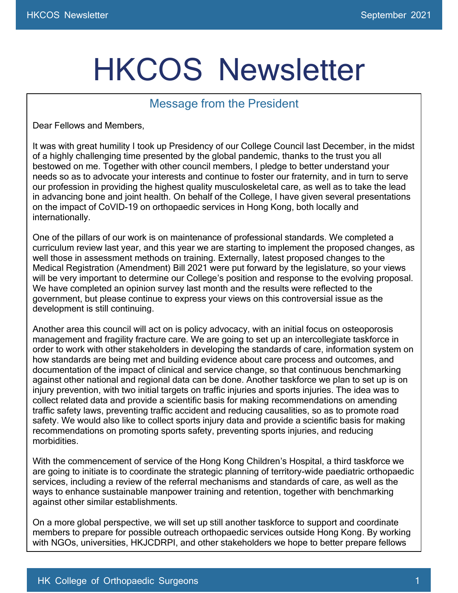## HKCOS Newsletter

## Message from the President

Dear Fellows and Members,

It was with great humility I took up Presidency of our College Council last December, in the midst of a highly challenging time presented by the global pandemic, thanks to the trust you all bestowed on me. Together with other council members, I pledge to better understand your needs so as to advocate your interests and continue to foster our fraternity, and in turn to serve our profession in providing the highest quality musculoskeletal care, as well as to take the lead in advancing bone and joint health. On behalf of the College, I have given several presentations on the impact of CoVID-19 on orthopaedic services in Hong Kong, both locally and internationally.

One of the pillars of our work is on maintenance of professional standards. We completed a curriculum review last year, and this year we are starting to implement the proposed changes, as well those in assessment methods on training. Externally, latest proposed changes to the Medical Registration (Amendment) Bill 2021 were put forward by the legislature, so your views will be very important to determine our College's position and response to the evolving proposal. We have completed an opinion survey last month and the results were reflected to the government, but please continue to express your views on this controversial issue as the development is still continuing.

Another area this council will act on is policy advocacy, with an initial focus on osteoporosis management and fragility fracture care. We are going to set up an intercollegiate taskforce in order to work with other stakeholders in developing the standards of care, information system on how standards are being met and building evidence about care process and outcomes, and documentation of the impact of clinical and service change, so that continuous benchmarking against other national and regional data can be done. Another taskforce we plan to set up is on injury prevention, with two initial targets on traffic injuries and sports injuries. The idea was to collect related data and provide a scientific basis for making recommendations on amending traffic safety laws, preventing traffic accident and reducing causalities, so as to promote road safety. We would also like to collect sports injury data and provide a scientific basis for making recommendations on promoting sports safety, preventing sports injuries, and reducing morbidities.

With the commencement of service of the Hong Kong Children's Hospital, a third taskforce we are going to initiate is to coordinate the strategic planning of territory-wide paediatric orthopaedic services, including a review of the referral mechanisms and standards of care, as well as the ways to enhance sustainable manpower training and retention, together with benchmarking against other similar establishments.

On a more global perspective, we will set up still another taskforce to support and coordinate members to prepare for possible outreach orthopaedic services outside Hong Kong. By working with NGOs, universities, HKJCDRPI, and other stakeholders we hope to better prepare fellows

and members to join overseas orthopaedic volunteer missions and provide the required support.

May I take this operator this operator to wish you and you and you and you and you and you are  $\mathcal{A}$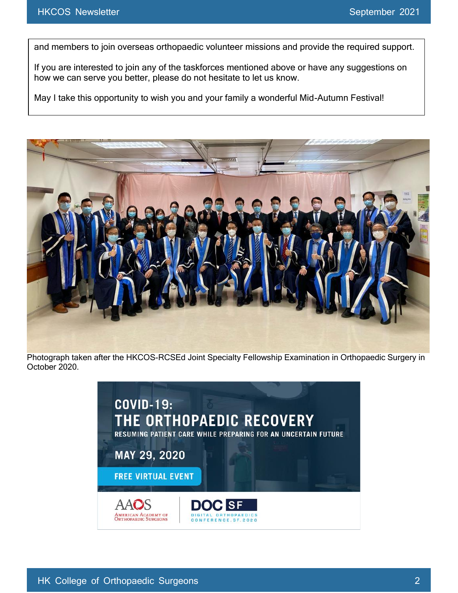and members to join overseas orthopaedic volunteer missions and provide the required support.

If you are interested to join any of the taskforces mentioned above or have any suggestions on how we can serve you better, please do not hesitate to let us know.

May I take this opportunity to wish you and your family a wonderful Mid-Autumn Festival!



Photograph taken after the HKCOS-RCSEd Joint Specialty Fellowship Examination in Orthopaedic Surgery in October 2020.

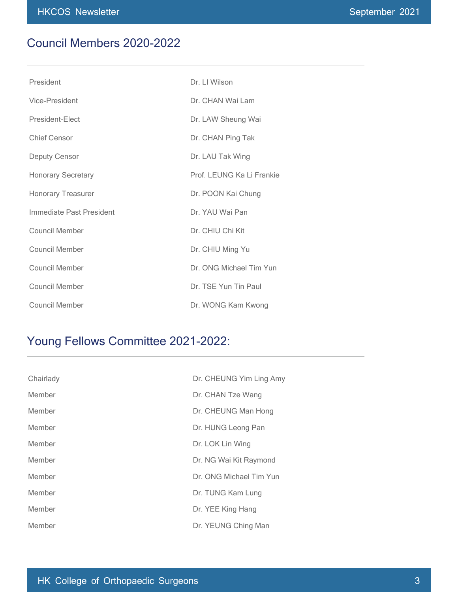## Council Members 2020-2022

| President                 | Dr. LI Wilson             |
|---------------------------|---------------------------|
| Vice-President            | Dr. CHAN Wai Lam          |
| President-Elect           | Dr. LAW Sheung Wai        |
| Chief Censor              | Dr. CHAN Ping Tak         |
| <b>Deputy Censor</b>      | Dr. LAU Tak Wing          |
| <b>Honorary Secretary</b> | Prof. LEUNG Ka Li Frankie |
| <b>Honorary Treasurer</b> | Dr. POON Kai Chung        |
| Immediate Past President  | Dr. YAU Wai Pan           |
| Council Member            | Dr. CHIU Chi Kit          |
| <b>Council Member</b>     | Dr. CHIU Ming Yu          |
| <b>Council Member</b>     | Dr. ONG Michael Tim Yun   |
| <b>Council Member</b>     | Dr. TSE Yun Tin Paul      |
| Council Member            | Dr. WONG Kam Kwong        |

## Young Fellows Committee 2021-2022:

| Chairlady | Dr. CHEUNG Yim Ling Amy |
|-----------|-------------------------|
| Member    | Dr. CHAN Tze Wang       |
| Member    | Dr. CHEUNG Man Hong     |
| Member    | Dr. HUNG Leong Pan      |
| Member    | Dr. LOK Lin Wing        |
| Member    | Dr. NG Wai Kit Raymond  |
| Member    | Dr. ONG Michael Tim Yun |
| Member    | Dr. TUNG Kam Lung       |
| Member    | Dr. YEE King Hang       |
| Member    | Dr. YEUNG Ching Man     |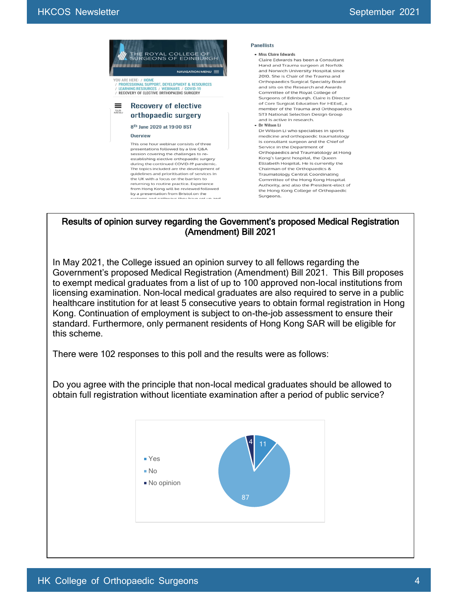

Results of opinion survey regarding the Government's proposed Medical Registration (Amendment) Bill 2021

In May 2021, the College issued an opinion survey to all fellows regarding the Government's proposed Medical Registration (Amendment) Bill 2021. This Bill proposes to exempt medical graduates from a list of up to 100 approved non-local institutions from licensing examination. Non-local medical graduates are also required to serve in a public healthcare institution for at least 5 consecutive years to obtain formal registration in Hong Kong. Continuation of employment is subject to on-the-job assessment to ensure their standard. Furthermore, only permanent residents of Hong Kong SAR will be eligible for this scheme.

There were 102 responses to this poll and the results were as follows:

Do you agree with the principle that non-local medical graduates should be allowed to obtain full registration without licentiate examination after a period of public service?

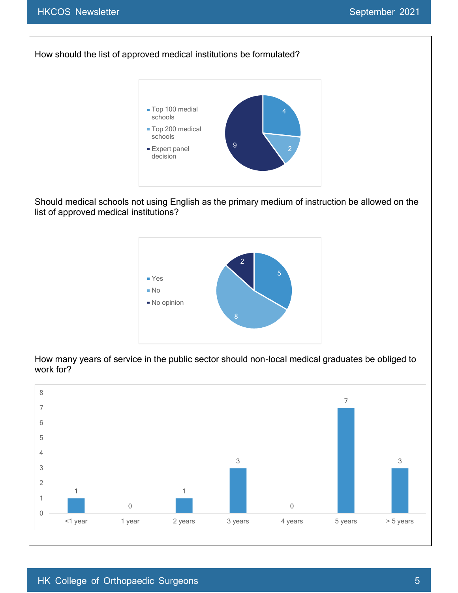